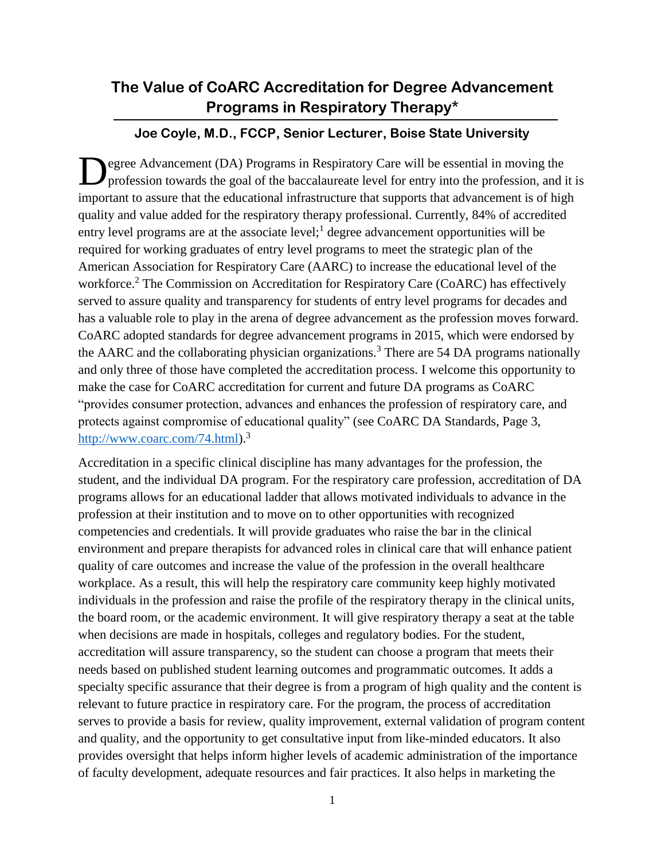## **The Value of CoARC Accreditation for Degree Advancement Programs in Respiratory Therapy\***

## **Joe Coyle, M.D., FCCP, Senior Lecturer, Boise State University**

egree Advancement (DA) Programs in Respiratory Care will be essential in moving the profession towards the goal of the baccalaureate level for entry into the profession, and it is important to assure that the educational infrastructure that supports that advancement is of high quality and value added for the respiratory therapy professional. Currently, 84% of accredited entry level programs are at the associate level; $\frac{1}{2}$  degree advancement opportunities will be required for working graduates of entry level programs to meet the strategic plan of the American Association for Respiratory Care (AARC) to increase the educational level of the workforce. <sup>2</sup> The Commission on Accreditation for Respiratory Care (CoARC) has effectively served to assure quality and transparency for students of entry level programs for decades and has a valuable role to play in the arena of degree advancement as the profession moves forward. CoARC adopted standards for degree advancement programs in 2015, which were endorsed by the AARC and the collaborating physician organizations.<sup>3</sup> There are 54 DA programs nationally and only three of those have completed the accreditation process. I welcome this opportunity to make the case for CoARC accreditation for current and future DA programs as CoARC "provides consumer protection, advances and enhances the profession of respiratory care, and protects against compromise of educational quality" (see CoARC DA Standards, Page 3, [http://www.coarc.com/74.html\)](http://www.coarc.com/74.html).<sup>3</sup> D

Accreditation in a specific clinical discipline has many advantages for the profession, the student, and the individual DA program. For the respiratory care profession, accreditation of DA programs allows for an educational ladder that allows motivated individuals to advance in the profession at their institution and to move on to other opportunities with recognized competencies and credentials. It will provide graduates who raise the bar in the clinical environment and prepare therapists for advanced roles in clinical care that will enhance patient quality of care outcomes and increase the value of the profession in the overall healthcare workplace. As a result, this will help the respiratory care community keep highly motivated individuals in the profession and raise the profile of the respiratory therapy in the clinical units, the board room, or the academic environment. It will give respiratory therapy a seat at the table when decisions are made in hospitals, colleges and regulatory bodies. For the student, accreditation will assure transparency, so the student can choose a program that meets their needs based on published student learning outcomes and programmatic outcomes. It adds a specialty specific assurance that their degree is from a program of high quality and the content is relevant to future practice in respiratory care. For the program, the process of accreditation serves to provide a basis for review, quality improvement, external validation of program content and quality, and the opportunity to get consultative input from like-minded educators. It also provides oversight that helps inform higher levels of academic administration of the importance of faculty development, adequate resources and fair practices. It also helps in marketing the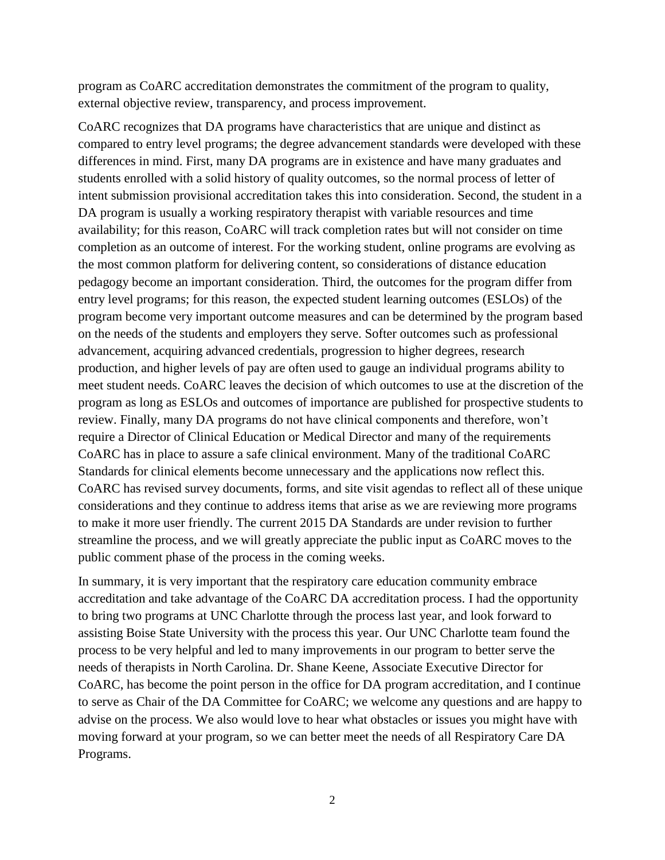program as CoARC accreditation demonstrates the commitment of the program to quality, external objective review, transparency, and process improvement.

CoARC recognizes that DA programs have characteristics that are unique and distinct as compared to entry level programs; the degree advancement standards were developed with these differences in mind. First, many DA programs are in existence and have many graduates and students enrolled with a solid history of quality outcomes, so the normal process of letter of intent submission provisional accreditation takes this into consideration. Second, the student in a DA program is usually a working respiratory therapist with variable resources and time availability; for this reason, CoARC will track completion rates but will not consider on time completion as an outcome of interest. For the working student, online programs are evolving as the most common platform for delivering content, so considerations of distance education pedagogy become an important consideration. Third, the outcomes for the program differ from entry level programs; for this reason, the expected student learning outcomes (ESLOs) of the program become very important outcome measures and can be determined by the program based on the needs of the students and employers they serve. Softer outcomes such as professional advancement, acquiring advanced credentials, progression to higher degrees, research production, and higher levels of pay are often used to gauge an individual programs ability to meet student needs. CoARC leaves the decision of which outcomes to use at the discretion of the program as long as ESLOs and outcomes of importance are published for prospective students to review. Finally, many DA programs do not have clinical components and therefore, won't require a Director of Clinical Education or Medical Director and many of the requirements CoARC has in place to assure a safe clinical environment. Many of the traditional CoARC Standards for clinical elements become unnecessary and the applications now reflect this. CoARC has revised survey documents, forms, and site visit agendas to reflect all of these unique considerations and they continue to address items that arise as we are reviewing more programs to make it more user friendly. The current 2015 DA Standards are under revision to further streamline the process, and we will greatly appreciate the public input as CoARC moves to the public comment phase of the process in the coming weeks.

In summary, it is very important that the respiratory care education community embrace accreditation and take advantage of the CoARC DA accreditation process. I had the opportunity to bring two programs at UNC Charlotte through the process last year, and look forward to assisting Boise State University with the process this year. Our UNC Charlotte team found the process to be very helpful and led to many improvements in our program to better serve the needs of therapists in North Carolina. Dr. Shane Keene, Associate Executive Director for CoARC, has become the point person in the office for DA program accreditation, and I continue to serve as Chair of the DA Committee for CoARC; we welcome any questions and are happy to advise on the process. We also would love to hear what obstacles or issues you might have with moving forward at your program, so we can better meet the needs of all Respiratory Care DA Programs.